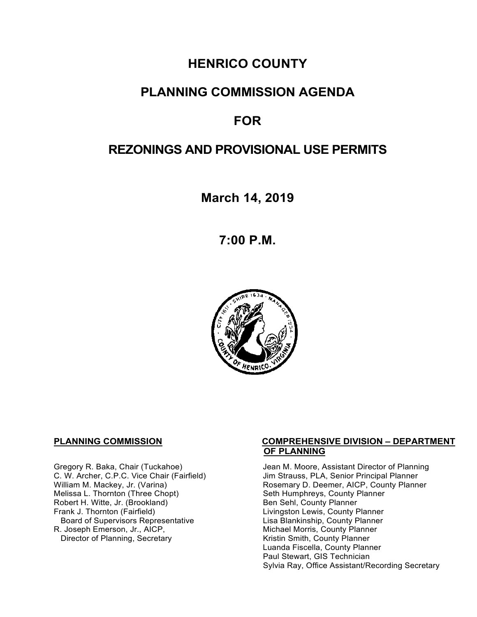# **HENRICO COUNTY**

# **PLANNING COMMISSION AGENDA**

# **FOR**

# **REZONINGS AND PROVISIONAL USE PERMITS**

**March 14, 2019**

**7:00 P.M.**



Melissa L. Thornton (Three Chopt) Seth Humphreys, County F<br>
Robert H. Witte, Jr. (Brookland) Seth Sehl, County Planner Robert H. Witte, Jr. (Brookland)<br>Frank J. Thornton (Fairfield) Board of Supervisors Representative<br>R. Joseph Emerson, Jr., AICP, Director of Planning, Secretary

#### **PLANNING COMMISSION COMPREHENSIVE DIVISION – DEPARTMENT OF PLANNING**

Gregory R. Baka, Chair (Tuckahoe) Jean M. Moore, Assistant Director of Planning<br>C. W. Archer, C.P.C. Vice Chair (Fairfield) Jim Strauss, PLA, Senior Principal Planner C. W. Archer, C.P.C. Vice Chair (Fairfield) Jim Strauss, PLA, Senior Principal Planner<br>William M. Mackey, Jr. (Varina) Sand Chair Cosemary D. Deemer, AICP, County Planner Rosemary D. Deemer, AICP, County Planner<br>Seth Humphreys, County Planner Livingston Lewis, County Planner<br>Lisa Blankinship, County Planner Michael Morris, County Planner<br>Kristin Smith, County Planner Luanda Fiscella, County Planner Paul Stewart, GIS Technician Sylvia Ray, Office Assistant/Recording Secretary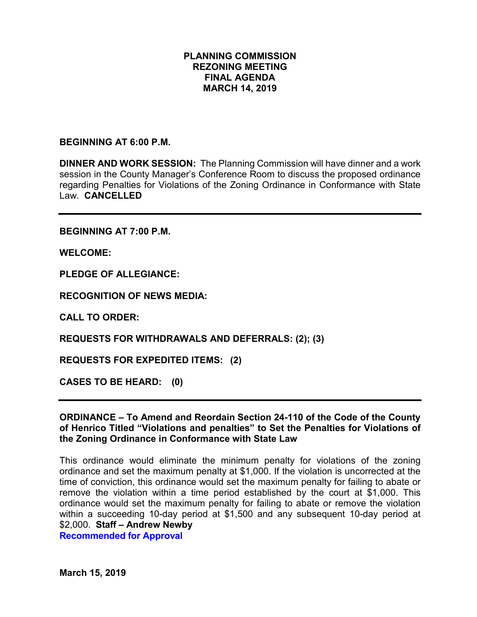## **PLANNING COMMISSION REZONING MEETING FINAL AGENDA MARCH 14, 2019**

### **BEGINNING AT 6:00 P.M.**

**DINNER AND WORK SESSION:** The Planning Commission will have dinner and a work session in the County Manager's Conference Room to discuss the proposed ordinance regarding Penalties for Violations of the Zoning Ordinance in Conformance with State Law. **CANCELLED**

**BEGINNING AT 7:00 P.M.**

**WELCOME:**

**PLEDGE OF ALLEGIANCE:**

**RECOGNITION OF NEWS MEDIA:**

**CALL TO ORDER:**

**REQUESTS FOR WITHDRAWALS AND DEFERRALS: (2); (3)**

**REQUESTS FOR EXPEDITED ITEMS: (2)**

**CASES TO BE HEARD: (0)**

## **ORDINANCE – To Amend and Reordain Section 24-110 of the Code of the County of Henrico Titled "Violations and penalties" to Set the Penalties for Violations of the Zoning Ordinance in Conformance with State Law**

This ordinance would eliminate the minimum penalty for violations of the zoning ordinance and set the maximum penalty at \$1,000. If the violation is uncorrected at the time of conviction, this ordinance would set the maximum penalty for failing to abate or remove the violation within a time period established by the court at \$1,000. This ordinance would set the maximum penalty for failing to abate or remove the violation within a succeeding 10-day period at \$1,500 and any subsequent 10-day period at \$2,000. **Staff – Andrew Newby**

**Recommended for Approval**

**March 15, 2019**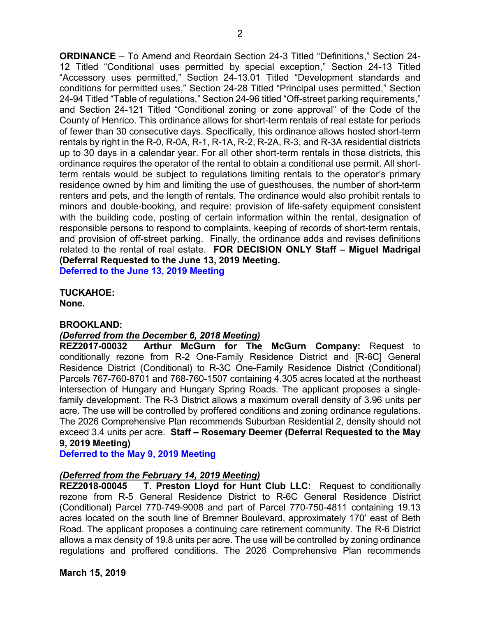**ORDINANCE** – To Amend and Reordain Section 24-3 Titled "Definitions," Section 24- 12 Titled "Conditional uses permitted by special exception," Section 24-13 Titled "Accessory uses permitted," Section 24-13.01 Titled "Development standards and conditions for permitted uses," Section 24-28 Titled "Principal uses permitted," Section 24-94 Titled "Table of regulations," Section 24-96 titled "Off-street parking requirements," and Section 24-121 Titled "Conditional zoning or zone approval" of the Code of the County of Henrico. This ordinance allows for short-term rentals of real estate for periods of fewer than 30 consecutive days. Specifically, this ordinance allows hosted short-term rentals by right in the R-0, R-0A, R-1, R-1A, R-2, R-2A, R-3, and R-3A residential districts up to 30 days in a calendar year. For all other short-term rentals in those districts, this ordinance requires the operator of the rental to obtain a conditional use permit. All shortterm rentals would be subject to regulations limiting rentals to the operator's primary residence owned by him and limiting the use of guesthouses, the number of short-term renters and pets, and the length of rentals. The ordinance would also prohibit rentals to minors and double-booking, and require: provision of life-safety equipment consistent with the building code, posting of certain information within the rental, designation of responsible persons to respond to complaints, keeping of records of short-term rentals, and provision of off-street parking. Finally, the ordinance adds and revises definitions related to the rental of real estate. **FOR DECISION ONLY Staff – Miguel Madrigal (Deferral Requested to the June 13, 2019 Meeting. Deferred to the June 13, 2019 Meeting**

**TUCKAHOE: None.**

#### **BROOKLAND:**

#### *(Deferred from the December 6, 2018 Meeting)*

**REZ2017-00032 Arthur McGurn for The McGurn Company:** Request to conditionally rezone from R-2 One-Family Residence District and [R-6C] General Residence District (Conditional) to R-3C One-Family Residence District (Conditional) Parcels 767-760-8701 and 768-760-1507 containing 4.305 acres located at the northeast intersection of Hungary and Hungary Spring Roads. The applicant proposes a singlefamily development. The R-3 District allows a maximum overall density of 3.96 units per acre. The use will be controlled by proffered conditions and zoning ordinance regulations. The 2026 Comprehensive Plan recommends Suburban Residential 2, density should not exceed 3.4 units per acre. **Staff – Rosemary Deemer (Deferral Requested to the May 9, 2019 Meeting)**

#### **Deferred to the May 9, 2019 Meeting**

#### *(Deferred from the February 14, 2019 Meeting)*

**REZ2018-00045 T. Preston Lloyd for Hunt Club LLC:** Request to conditionally rezone from R-5 General Residence District to R-6C General Residence District (Conditional) Parcel 770-749-9008 and part of Parcel 770-750-4811 containing 19.13 acres located on the south line of Bremner Boulevard, approximately 170' east of Beth Road. The applicant proposes a continuing care retirement community. The R-6 District allows a max density of 19.8 units per acre. The use will be controlled by zoning ordinance regulations and proffered conditions. The 2026 Comprehensive Plan recommends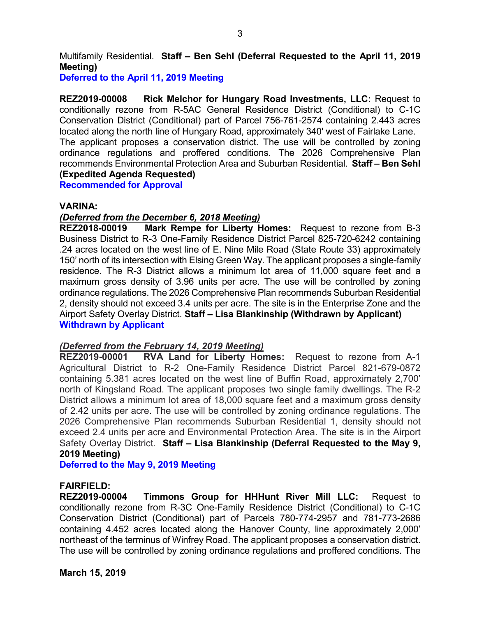Multifamily Residential. **Staff – Ben Sehl (Deferral Requested to the April 11, 2019 Meeting)**

**Deferred to the April 11, 2019 Meeting**

**REZ2019-00008 Rick Melchor for Hungary Road Investments, LLC:** Request to conditionally rezone from R-5AC General Residence District (Conditional) to C-1C Conservation District (Conditional) part of Parcel 756-761-2574 containing 2.443 acres located along the north line of Hungary Road, approximately 340' west of Fairlake Lane. The applicant proposes a conservation district. The use will be controlled by zoning ordinance regulations and proffered conditions. The 2026 Comprehensive Plan recommends Environmental Protection Area and Suburban Residential. **Staff – Ben Sehl (Expedited Agenda Requested)**

**Recommended for Approval**

#### **VARINA:**

#### *(Deferred from the December 6, 2018 Meeting)*

**REZ2018-00019 Mark Rempe for Liberty Homes:** Request to rezone from B-3 Business District to R-3 One-Family Residence District Parcel 825-720-6242 containing .24 acres located on the west line of E. Nine Mile Road (State Route 33) approximately 150' north of its intersection with Elsing Green Way. The applicant proposes a single-family residence. The R-3 District allows a minimum lot area of 11,000 square feet and a maximum gross density of 3.96 units per acre. The use will be controlled by zoning ordinance regulations. The 2026 Comprehensive Plan recommends Suburban Residential 2, density should not exceed 3.4 units per acre. The site is in the Enterprise Zone and the Airport Safety Overlay District. **Staff – Lisa Blankinship (Withdrawn by Applicant) Withdrawn by Applicant**

#### *(Deferred from the February 14, 2019 Meeting)*

**REZ2019-00001 RVA Land for Liberty Homes:** Request to rezone from A-1 Agricultural District to R-2 One-Family Residence District Parcel 821-679-0872 containing 5.381 acres located on the west line of Buffin Road, approximately 2,700' north of Kingsland Road. The applicant proposes two single family dwellings. The R-2 District allows a minimum lot area of 18,000 square feet and a maximum gross density of 2.42 units per acre. The use will be controlled by zoning ordinance regulations. The 2026 Comprehensive Plan recommends Suburban Residential 1, density should not exceed 2.4 units per acre and Environmental Protection Area. The site is in the Airport Safety Overlay District. **Staff – Lisa Blankinship (Deferral Requested to the May 9, 2019 Meeting)**

**Deferred to the May 9, 2019 Meeting**

#### **FAIRFIELD:**

**REZ2019-00004 Timmons Group for HHHunt River Mill LLC:** Request to conditionally rezone from R-3C One-Family Residence District (Conditional) to C-1C Conservation District (Conditional) part of Parcels 780-774-2957 and 781-773-2686 containing 4.452 acres located along the Hanover County, line approximately 2,000' northeast of the terminus of Winfrey Road. The applicant proposes a conservation district. The use will be controlled by zoning ordinance regulations and proffered conditions. The